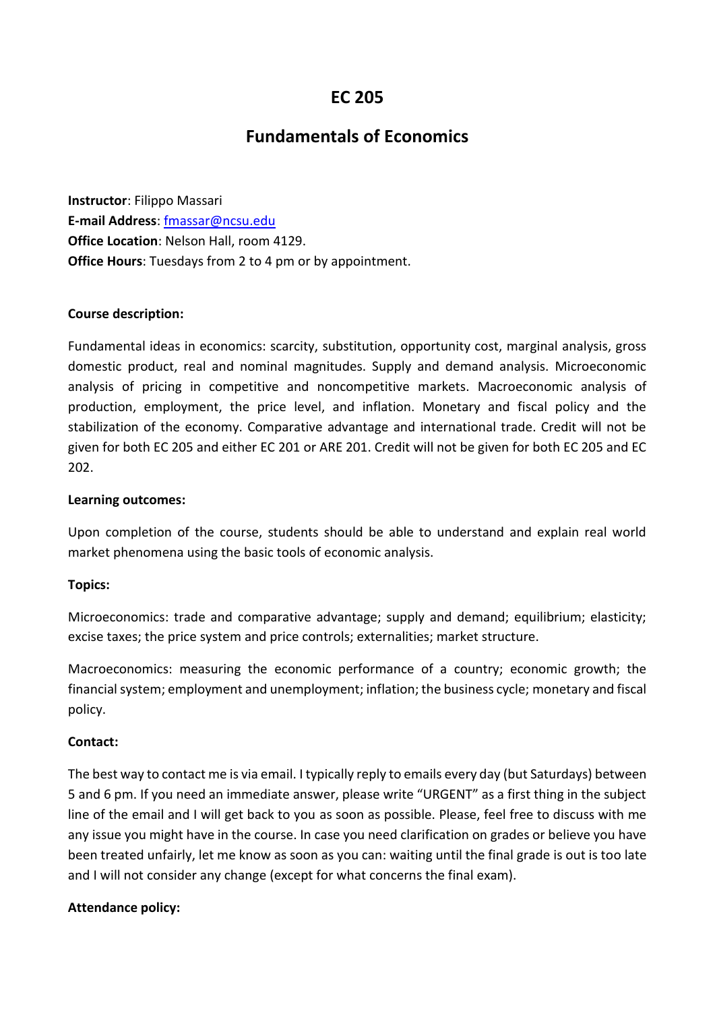# **EC 205**

# **Fundamentals of Economics**

**Instructor**: Filippo Massari **E-mail Address**: [fmassar@ncsu.edu](mailto:fmassar@ncsu.edu) **Office Location**: Nelson Hall, room 4129. **Office Hours**: Tuesdays from 2 to 4 pm or by appointment.

#### **Course description:**

Fundamental ideas in economics: scarcity, substitution, opportunity cost, marginal analysis, gross domestic product, real and nominal magnitudes. Supply and demand analysis. Microeconomic analysis of pricing in competitive and noncompetitive markets. Macroeconomic analysis of production, employment, the price level, and inflation. Monetary and fiscal policy and the stabilization of the economy. Comparative advantage and international trade. Credit will not be given for both EC 205 and either EC 201 or ARE 201. Credit will not be given for both EC 205 and EC 202.

#### **Learning outcomes:**

Upon completion of the course, students should be able to understand and explain real world market phenomena using the basic tools of economic analysis.

#### **Topics:**

Microeconomics: trade and comparative advantage; supply and demand; equilibrium; elasticity; excise taxes; the price system and price controls; externalities; market structure.

Macroeconomics: measuring the economic performance of a country; economic growth; the financial system; employment and unemployment; inflation; the business cycle; monetary and fiscal policy.

#### **Contact:**

The best way to contact me is via email. I typically reply to emails every day (but Saturdays) between 5 and 6 pm. If you need an immediate answer, please write "URGENT" as a first thing in the subject line of the email and I will get back to you as soon as possible. Please, feel free to discuss with me any issue you might have in the course. In case you need clarification on grades or believe you have been treated unfairly, let me know as soon as you can: waiting until the final grade is out is too late and I will not consider any change (except for what concerns the final exam).

#### **Attendance policy:**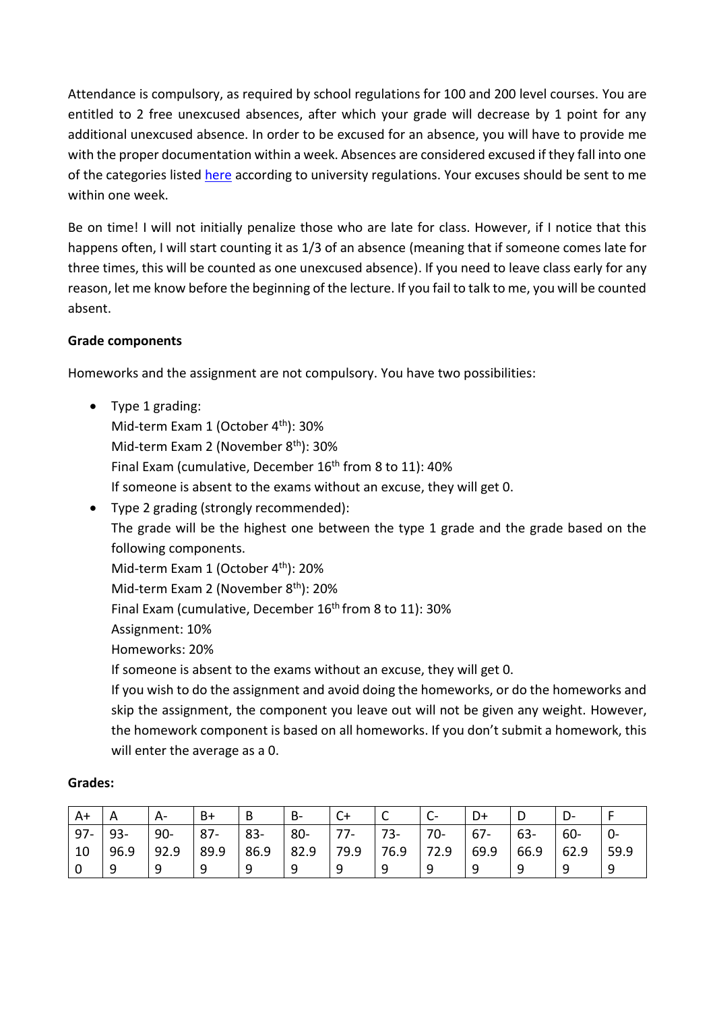Attendance is compulsory, as required by school regulations for 100 and 200 level courses. You are entitled to 2 free unexcused absences, after which your grade will decrease by 1 point for any additional unexcused absence. In order to be excused for an absence, you will have to provide me with the proper documentation within a week. Absences are considered excused if they fall into one of the categories listed [here](https://policies.ncsu.edu/regulation/reg-02-20-03-attendance-regulations/) according to university regulations. Your excuses should be sent to me within one week.

Be on time! I will not initially penalize those who are late for class. However, if I notice that this happens often, I will start counting it as 1/3 of an absence (meaning that if someone comes late for three times, this will be counted as one unexcused absence). If you need to leave class early for any reason, let me know before the beginning of the lecture. If you fail to talk to me, you will be counted absent.

## **Grade components**

Homeworks and the assignment are not compulsory. You have two possibilities:

- Type 1 grading: Mid-term Exam 1 (October  $4<sup>th</sup>$ ): 30% Mid-term Exam 2 (November 8th): 30% Final Exam (cumulative, December 16<sup>th</sup> from 8 to 11): 40% If someone is absent to the exams without an excuse, they will get 0.
- Type 2 grading (strongly recommended): The grade will be the highest one between the type 1 grade and the grade based on the following components. Mid-term Exam 1 (October 4<sup>th</sup>): 20% Mid-term Exam 2 (November 8<sup>th</sup>): 20% Final Exam (cumulative, December 16<sup>th</sup> from 8 to 11): 30% Assignment: 10% Homeworks: 20% If someone is absent to the exams without an excuse, they will get 0. If you wish to do the assignment and avoid doing the homeworks, or do the homeworks and

skip the assignment, the component you leave out will not be given any weight. However, the homework component is based on all homeworks. If you don't submit a homework, this will enter the average as a 0.

| A+     |        | A-     | B+     | B      | В-     |       | ֊    | $\sim$ |        | D      |        |      |
|--------|--------|--------|--------|--------|--------|-------|------|--------|--------|--------|--------|------|
| $97 -$ | $93 -$ | $90 -$ | $87 -$ | $83 -$ | $80 -$ | $77-$ | 73-  | $70-$  | $67 -$ | $63 -$ | $60 -$ |      |
| 10     | 96.9   | 92.9   | 89.9   | 86.9   | 82.9   | 79.9  | 76.9 | 72.9   | 69.9   | 66.9   | 62.9   | 59.9 |
| 0      | a      |        | O      |        |        | a     |      |        | a      | q      |        | q    |

#### **Grades:**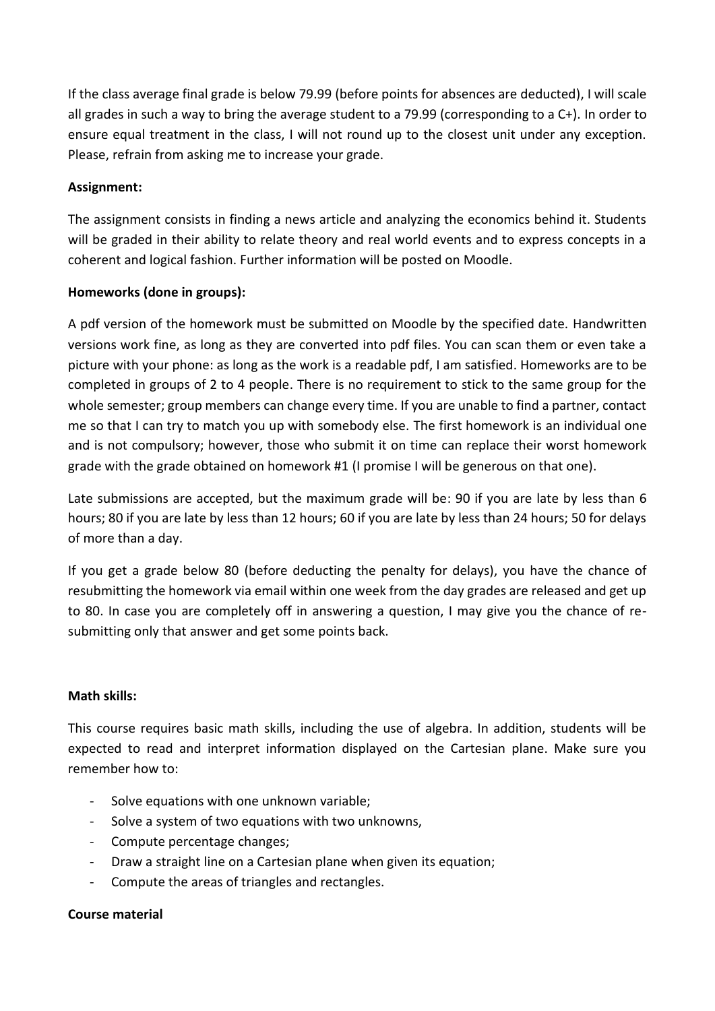If the class average final grade is below 79.99 (before points for absences are deducted), I will scale all grades in such a way to bring the average student to a 79.99 (corresponding to a C+). In order to ensure equal treatment in the class, I will not round up to the closest unit under any exception. Please, refrain from asking me to increase your grade.

## **Assignment:**

The assignment consists in finding a news article and analyzing the economics behind it. Students will be graded in their ability to relate theory and real world events and to express concepts in a coherent and logical fashion. Further information will be posted on Moodle.

## **Homeworks (done in groups):**

A pdf version of the homework must be submitted on Moodle by the specified date. Handwritten versions work fine, as long as they are converted into pdf files. You can scan them or even take a picture with your phone: as long as the work is a readable pdf, I am satisfied. Homeworks are to be completed in groups of 2 to 4 people. There is no requirement to stick to the same group for the whole semester; group members can change every time. If you are unable to find a partner, contact me so that I can try to match you up with somebody else. The first homework is an individual one and is not compulsory; however, those who submit it on time can replace their worst homework grade with the grade obtained on homework #1 (I promise I will be generous on that one).

Late submissions are accepted, but the maximum grade will be: 90 if you are late by less than 6 hours; 80 if you are late by less than 12 hours; 60 if you are late by less than 24 hours; 50 for delays of more than a day.

If you get a grade below 80 (before deducting the penalty for delays), you have the chance of resubmitting the homework via email within one week from the day grades are released and get up to 80. In case you are completely off in answering a question, I may give you the chance of resubmitting only that answer and get some points back.

## **Math skills:**

This course requires basic math skills, including the use of algebra. In addition, students will be expected to read and interpret information displayed on the Cartesian plane. Make sure you remember how to:

- Solve equations with one unknown variable;
- Solve a system of two equations with two unknowns.
- Compute percentage changes;
- Draw a straight line on a Cartesian plane when given its equation;
- Compute the areas of triangles and rectangles.

#### **Course material**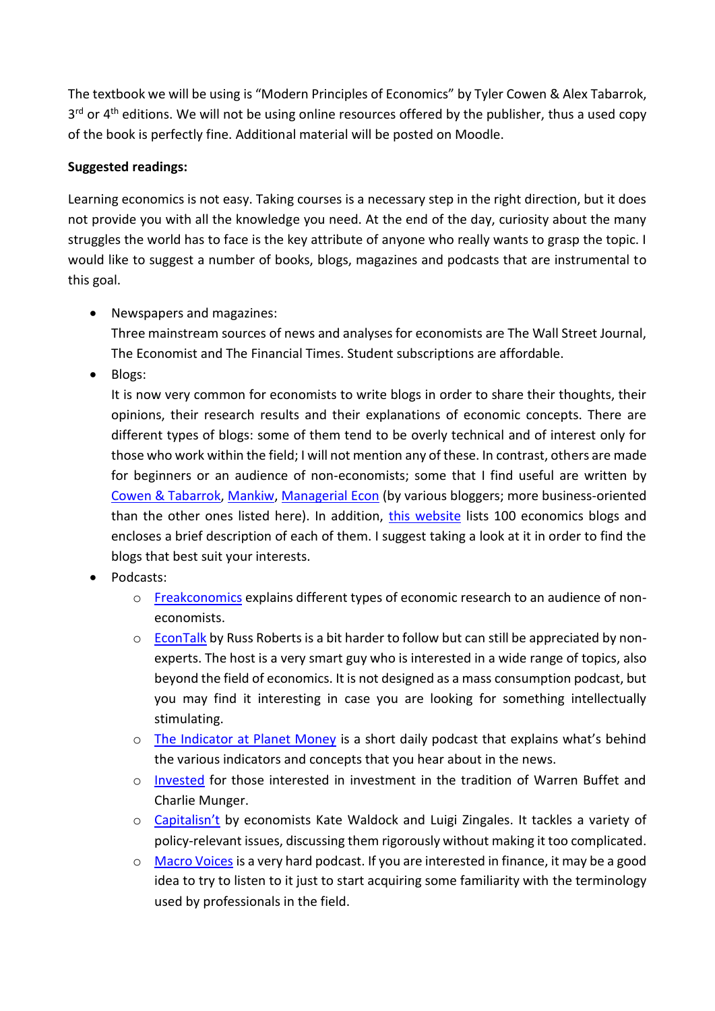The textbook we will be using is "Modern Principles of Economics" by Tyler Cowen & Alex Tabarrok, 3<sup>rd</sup> or 4<sup>th</sup> editions. We will not be using online resources offered by the publisher, thus a used copy of the book is perfectly fine. Additional material will be posted on Moodle.

# **Suggested readings:**

Learning economics is not easy. Taking courses is a necessary step in the right direction, but it does not provide you with all the knowledge you need. At the end of the day, curiosity about the many struggles the world has to face is the key attribute of anyone who really wants to grasp the topic. I would like to suggest a number of books, blogs, magazines and podcasts that are instrumental to this goal.

• Newspapers and magazines:

Three mainstream sources of news and analyses for economists are The Wall Street Journal, The Economist and The Financial Times. Student subscriptions are affordable.

• Blogs:

It is now very common for economists to write blogs in order to share their thoughts, their opinions, their research results and their explanations of economic concepts. There are different types of blogs: some of them tend to be overly technical and of interest only for those who work within the field; I will not mention any of these. In contrast, others are made for beginners or an audience of non-economists; some that I find useful are written by [Cowen & Tabarrok,](http://marginalrevolution.com/) [Mankiw,](http://gregmankiw.blogspot.com/) [Managerial Econ](https://managerialecon.blogspot.com/) (by various bloggers; more business-oriented than the other ones listed here). In addition, [this website](https://www.intelligenteconomist.com/economics-blogs/) lists 100 economics blogs and encloses a brief description of each of them. I suggest taking a look at it in order to find the blogs that best suit your interests.

- Podcasts:
	- o [Freakconomics](http://freakonomics.com/archive/) explains different types of economic research to an audience of noneconomists.
	- $\circ$  [EconTalk](http://www.econtalk.org/) by Russ Roberts is a bit harder to follow but can still be appreciated by nonexperts. The host is a very smart guy who is interested in a wide range of topics, also beyond the field of economics. It is not designed as a mass consumption podcast, but you may find it interesting in case you are looking for something intellectually stimulating.
	- o [The Indicator at Planet Money](https://www.npr.org/sections/money/567724614/the-indicator) is a short daily podcast that explains what's behind the various indicators and concepts that you hear about in the news.
	- o [Invested](https://www.ruleoneinvesting.com/podcast/) for those interested in investment in the tradition of Warren Buffet and Charlie Munger.
	- o [Capitalisn't](https://www.capitalisnt.com/) by economists Kate Waldock and Luigi Zingales. It tackles a variety of policy-relevant issues, discussing them rigorously without making it too complicated.
	- o [Macro Voices](https://www.macrovoices.com/) is a very hard podcast. If you are interested in finance, it may be a good idea to try to listen to it just to start acquiring some familiarity with the terminology used by professionals in the field.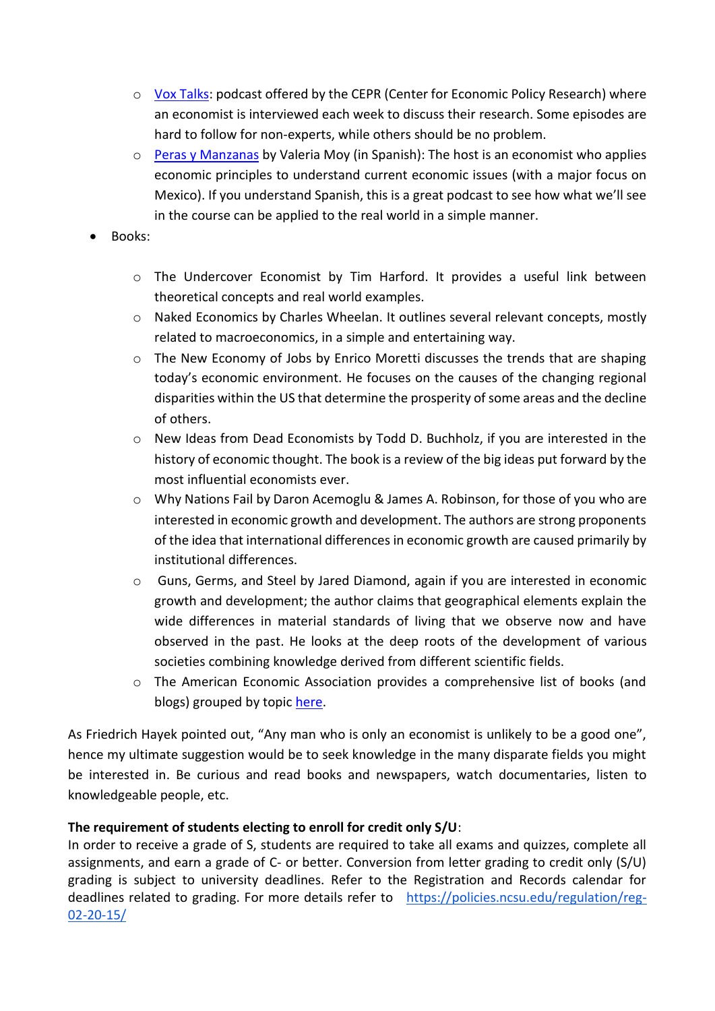- $\circ$  [Vox Talks:](https://voxeu.org/pages/vox-talks) podcast offered by the CEPR (Center for Economic Policy Research) where an economist is interviewed each week to discuss their research. Some episodes are hard to follow for non-experts, while others should be no problem.
- o [Peras y Manzanas](https://podtail.com/en/podcast/peras-y-manzanas/) by Valeria Moy (in Spanish): The host is an economist who applies economic principles to understand current economic issues (with a major focus on Mexico). If you understand Spanish, this is a great podcast to see how what we'll see in the course can be applied to the real world in a simple manner.
- Books:
	- o The Undercover Economist by Tim Harford. It provides a useful link between theoretical concepts and real world examples.
	- o Naked Economics by Charles Wheelan. It outlines several relevant concepts, mostly related to macroeconomics, in a simple and entertaining way.
	- $\circ$  The New Economy of Jobs by Enrico Moretti discusses the trends that are shaping today's economic environment. He focuses on the causes of the changing regional disparities within the US that determine the prosperity of some areas and the decline of others.
	- o New Ideas from Dead Economists by Todd D. Buchholz, if you are interested in the history of economic thought. The book is a review of the big ideas put forward by the most influential economists ever.
	- o Why Nations Fail by Daron Acemoglu & James A. Robinson, for those of you who are interested in economic growth and development. The authors are strong proponents of the idea that international differences in economic growth are caused primarily by institutional differences.
	- o Guns, Germs, and Steel by Jared Diamond, again if you are interested in economic growth and development; the author claims that geographical elements explain the wide differences in material standards of living that we observe now and have observed in the past. He looks at the deep roots of the development of various societies combining knowledge derived from different scientific fields.
	- o The American Economic Association provides a comprehensive list of books (and blogs) grouped by topic [here.](https://www.aeaweb.org/resources/students/books-and-links)

As Friedrich Hayek pointed out, "Any man who is only an economist is unlikely to be a good one", hence my ultimate suggestion would be to seek knowledge in the many disparate fields you might be interested in. Be curious and read books and newspapers, watch documentaries, listen to knowledgeable people, etc.

## **The requirement of students electing to enroll for credit only S/U**:

In order to receive a grade of S, students are required to take all exams and quizzes, complete all assignments, and earn a grade of C- or better. Conversion from letter grading to credit only (S/U) grading is subject to university deadlines. Refer to the Registration and Records calendar for deadlines related to grading. For more details refer to [https://policies.ncsu.edu/regulation/reg-](https://policies.ncsu.edu/regulation/reg-02-20-15/)[02-20-15/](https://policies.ncsu.edu/regulation/reg-02-20-15/)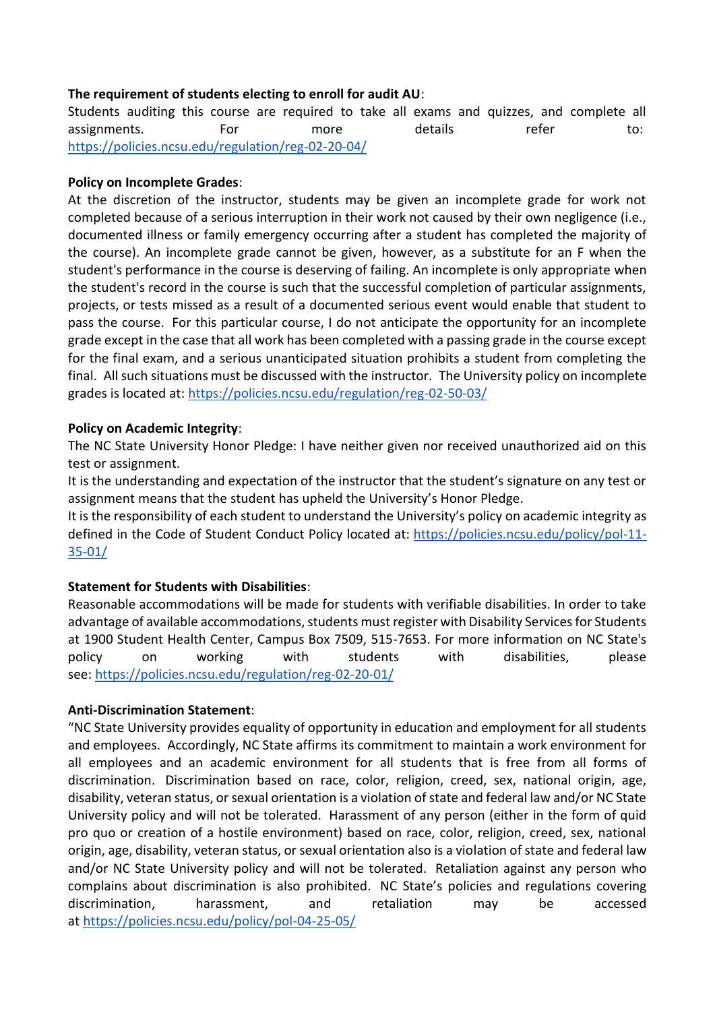## **The requirement of students electing to enroll for audit AU**:

Students auditing this course are required to take all exams and quizzes, and complete all assignments. For more details refer to: <https://policies.ncsu.edu/regulation/reg-02-20-04/>

### **Policy on Incomplete Grades**:

At the discretion of the instructor, students may be given an incomplete grade for work not completed because of a serious interruption in their work not caused by their own negligence (i.e., documented illness or family emergency occurring after a student has completed the majority of the course). An incomplete grade cannot be given, however, as a substitute for an F when the student's performance in the course is deserving of failing. An incomplete is only appropriate when the student's record in the course is such that the successful completion of particular assignments, projects, or tests missed as a result of a documented serious event would enable that student to pass the course. For this particular course, I do not anticipate the opportunity for an incomplete grade except in the case that all work has been completed with a passing grade in the course except for the final exam, and a serious unanticipated situation prohibits a student from completing the final. All such situations must be discussed with the instructor. The University policy on incomplete grades is located at: <https://policies.ncsu.edu/regulation/reg-02-50-03/>

### **Policy on Academic Integrity**:

The NC State University Honor Pledge: I have neither given nor received unauthorized aid on this test or assignment.

It is the understanding and expectation of the instructor that the student's signature on any test or assignment means that the student has upheld the University's Honor Pledge.

It is the responsibility of each student to understand the University's policy on academic integrity as defined in the Code of Student Conduct Policy located at: [https://policies.ncsu.edu/policy/pol-11-](https://policies.ncsu.edu/policy/pol-11-35-01/) [35-01/](https://policies.ncsu.edu/policy/pol-11-35-01/)

## **Statement for Students with Disabilities**:

Reasonable accommodations will be made for students with verifiable disabilities. In order to take advantage of available accommodations, students must register with Disability Services for Students at 1900 Student Health Center, Campus Box 7509, 515-7653. For more information on NC State's policy on working with students with disabilities, please see: <https://policies.ncsu.edu/regulation/reg-02-20-01/>

#### **Anti-Discrimination Statement**:

"NC State University provides equality of opportunity in education and employment for all students and employees. Accordingly, NC State affirms its commitment to maintain a work environment for all employees and an academic environment for all students that is free from all forms of discrimination. Discrimination based on race, color, religion, creed, sex, national origin, age, disability, veteran status, or sexual orientation is a violation of state and federal law and/or NC State University policy and will not be tolerated. Harassment of any person (either in the form of quid pro quo or creation of a hostile environment) based on race, color, religion, creed, sex, national origin, age, disability, veteran status, or sexual orientation also is a violation of state and federal law and/or NC State University policy and will not be tolerated. Retaliation against any person who complains about discrimination is also prohibited. NC State's policies and regulations covering discrimination, harassment, and retaliation may be accessed at <https://policies.ncsu.edu/policy/pol-04-25-05/>